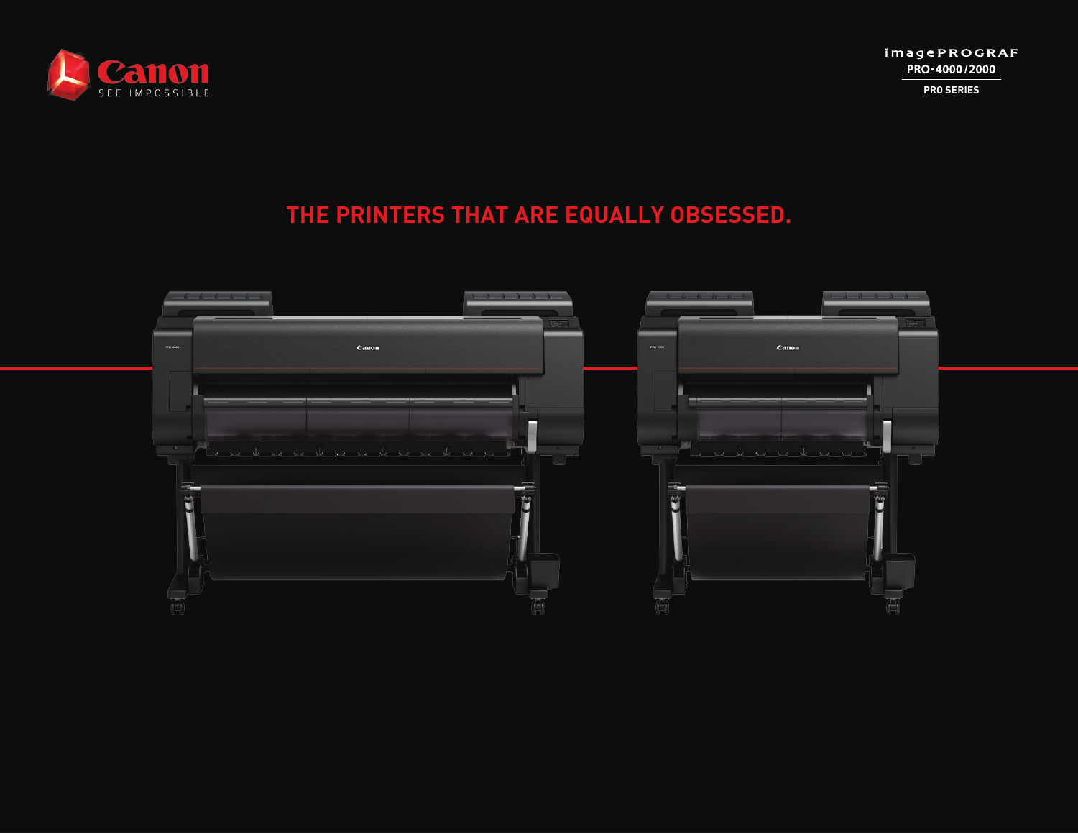

**PRO SERIES**

# **THE PRINTERS THAT ARE EQUALLY OBSESSED.**

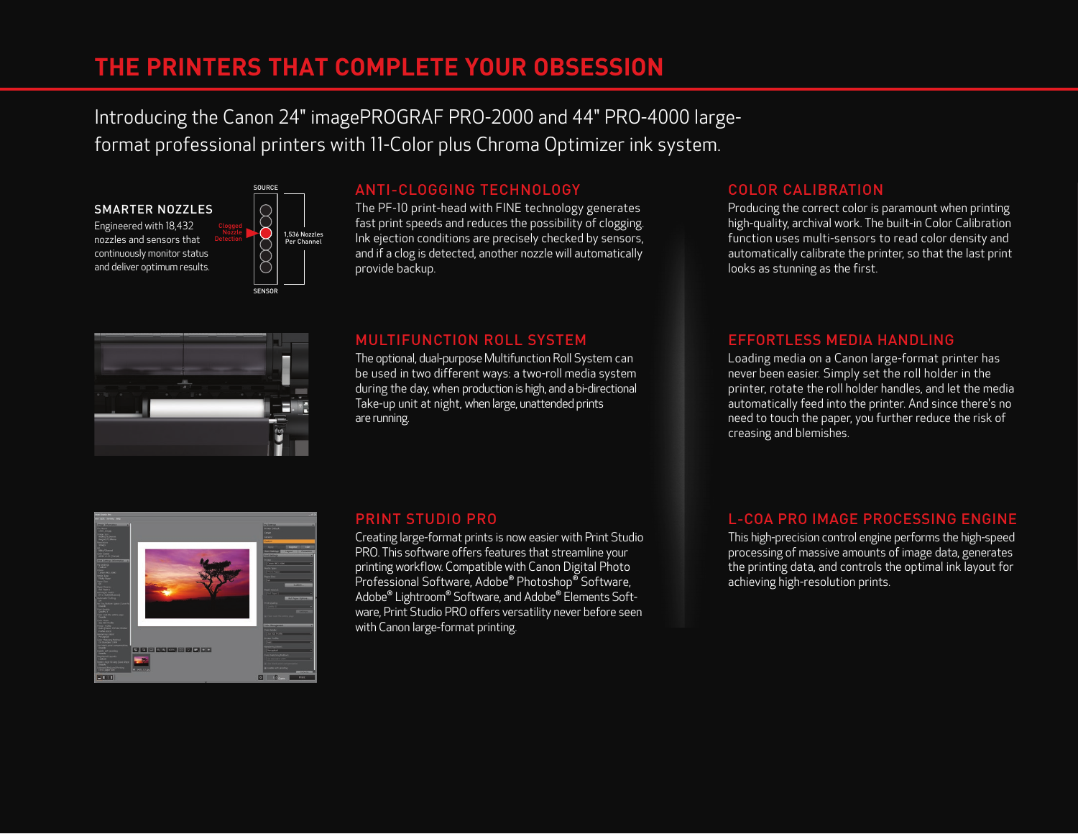# **THE PRINTERS THAT COMPLETE YOUR OBSESSION**

Introducing the Canon 24" imagePROGRAF PRO-2000 and 44" PRO-4000 largeformat professional printers with 11-Color plus Chroma Optimizer ink system.





SOURCE

# ANTI-CLOGGING TECHNOLOGY

The PF-10 print-head with FINE technology generates fast print speeds and reduces the possibility of clogging. Ink ejection conditions are precisely checked by sensors, and if a clog is detected, another nozzle will automatically provide backup.

# i<br>Ser

## MULTIFUNCTION ROLL SYSTEM

The optional, dual-purpose Multifunction Roll System can be used in two different ways: a two-roll media system during the day, when production is high, and a bi-directional Take-up unit at night, when large, unattended prints are running.

# COLOR CALIBRATION

Producing the correct color is paramount when printing high-quality, archival work. The built-in Color Calibration function uses multi-sensors to read color density and automatically calibrate the printer, so that the last print looks as stunning as the first.

## EFFORTLESS MEDIA HANDLING

Loading media on a Canon large-format printer has never been easier. Simply set the roll holder in the printer, rotate the roll holder handles, and let the media automatically feed into the printer. And since there's no need to touch the paper, you further reduce the risk of creasing and blemishes.



## PRINT STUDIO PRO

Creating large-format prints is now easier with Print Studio PRO. This software offers features that streamline your printing workflow. Compatible with Canon Digital Photo Professional Software, Adobe® Photoshop® Software, Adobe® Lightroom® Software, and Adobe® Elements Software, Print Studio PRO offers versatility never before seen with Canon large-format printing.

# L-COA PRO IMAGE PROCESSING ENGINE

This high-precision control engine performs the high-speed processing of massive amounts of image data, generates the printing data, and controls the optimal ink layout for achieving high-resolution prints.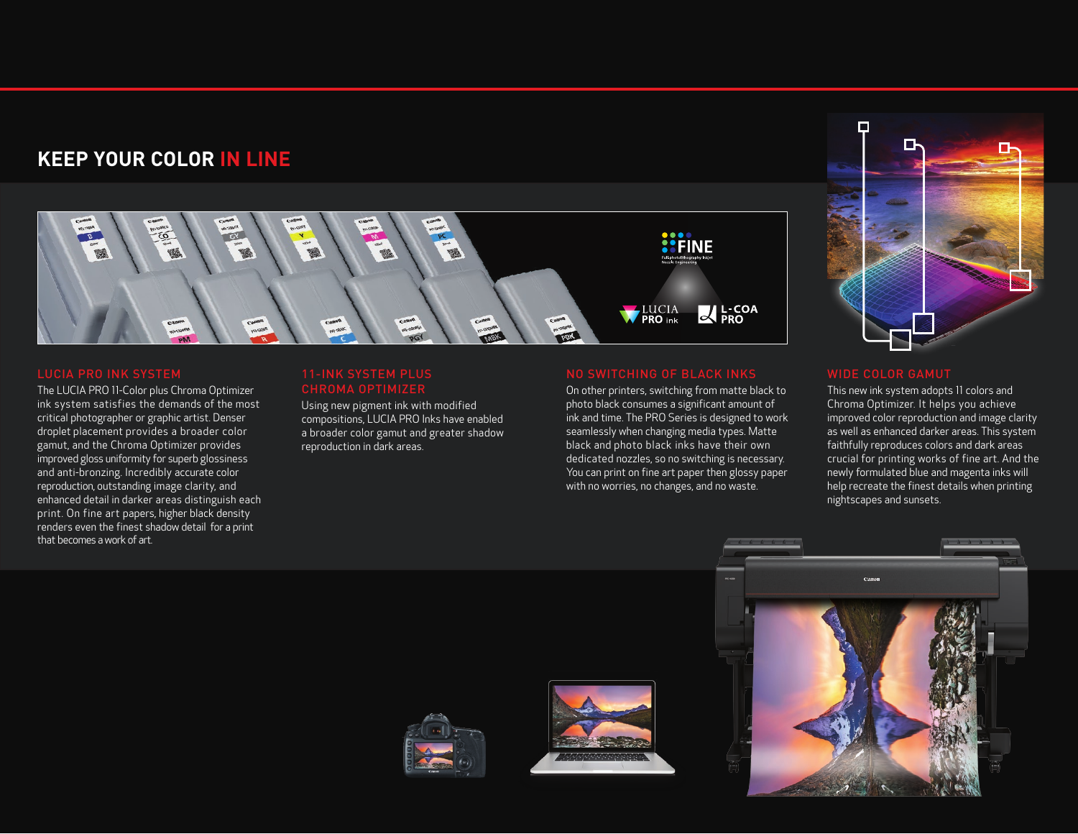# **KEEP YOUR COLOR IN LINE**



The LUCIA PRO 11-Color plus Chroma Optimizer ink system satisfies the demands of the most critical photographer or graphic artist. Denser droplet placement provides a broader color gamut, and the Chroma Optimizer provides improved gloss uniformity for superb glossiness and anti-bronzing. Incredibly accurate color reproduction, outstanding image clarity, and enhanced detail in darker areas distinguish each print. On fine art papers, higher black density renders even the finest shadow detail for a print that becomes a work of art.

# 11-INK SYSTEM PLUS

Using new pigment ink with modified compositions, LUCIA PRO Inks have enabled a broader color gamut and greater shadow reproduction in dark areas.

On other printers, switching from matte black to photo black consumes a significant amount of ink and time. The PRO Series is designed to work seamlessly when changing media types. Matte black and photo black inks have their own dedicated nozzles, so no switching is necessary. You can print on fine art paper then glossy paper with no worries, no changes, and no waste.



This new ink system adopts 11 colors and Chroma Optimizer. It helps you achieve improved color reproduction and image clarity as well as enhanced darker areas. This system faithfully reproduces colors and dark areas crucial for printing works of fine art. And the newly formulated blue and magenta inks will help recreate the finest details when printing nightscapes and sunsets.